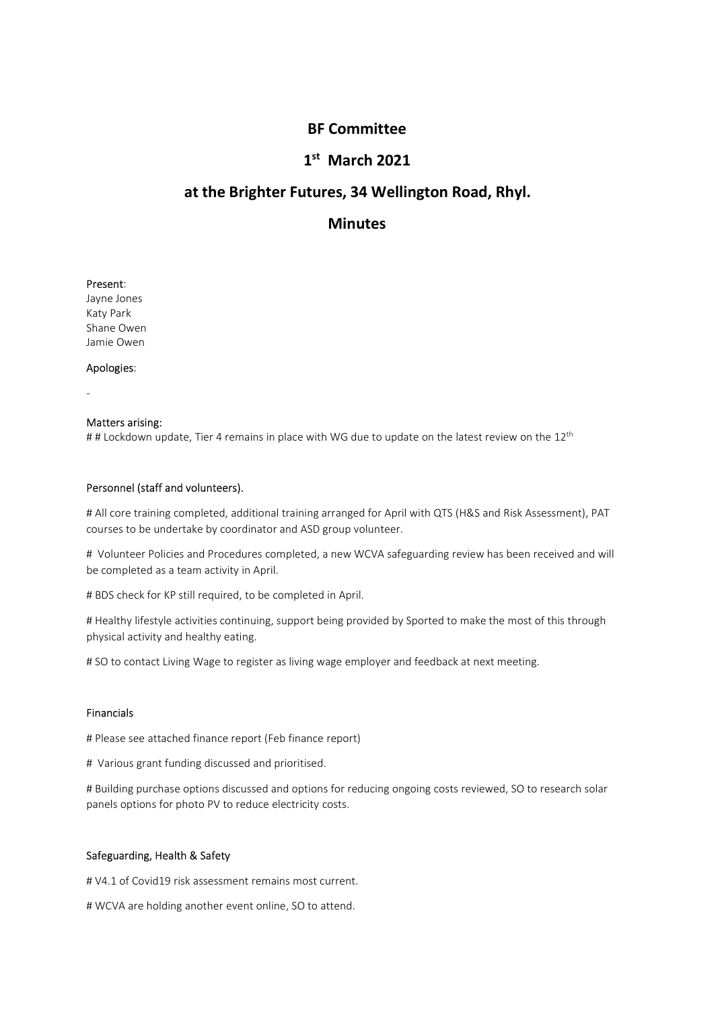# $1<sup>st</sup>$  March 2021

# BF Committee<br>L<sup>st</sup> March 2021<br>tures, 34 Wellington Road, Rhyl. 3F Committee<br><sup>st</sup> March 2021<br>ures, 34 Wellington Road, Rhyl.<br>Minutes BF Committee<br>1<sup>st</sup> March 2021<br>at the Brighter Futures, 34 Wellington Road, Rhyl.<br>Minutes **BF Committee<br>
1st March 2021**<br> **at the Brighter Futures, 34 Wellington Road, RI<br>
Minutes<br>
Present:<br>
Present:<br>
Alayne Jones<br>
Katy Park<br>
Marne Owen<br>
Jame Owen<br>
Apologies: BF Committee<br>
1<sup>st</sup> March 2021**<br> **at the Brighter Futures, 34 Wellington Road, F<br>
Minutes<br>
Present:<br>
Present:<br>
Raty Park<br>
Shane Owen<br>
Apologies:<br>
Apologies: BF Committee<br>
1<sup>st</sup> March 2021**<br> **at the Brighter Futures, 34 Wellington Road, RM<br>
Minutes<br>
Present:<br>
Alayne Jones<br>
Shane Owen<br>
Shane Owen<br>
Apologies: BF Committee<br>
1<sup>st</sup> March 2021**<br> **at the Brighter Futures, 34 Wellington Road, RI**<br> **Minutes**<br>
Present:<br>
Present:<br>
Alayne Jones<br>
Katy Park<br>
Shane Owen<br>
Apologies:<br>
Apologies:<br>
-<br>
Matters arising:

# **Minutes**

**BF Committee<br>
1st March 2021**<br> **at the Brighter Futures, 34 Wellington Road, Rhy**<br> **Minutes**<br>
Present:<br>
Apologies:<br>
Apologies:<br>
Apologies:<br>
-<br>
Matters arising:<br>
-<br>
Matters arising:<br>
-<br>
Matters arising:<br>
-<br>
Personnel (staf

1<sup>st</sup> March 2021<br> **at the Brighter Futures, 34 Wellington Road, Rhyl.**<br> **Minutes**<br>
Present:<br>
Alockdown update,<br>
Shane Owen<br>
Alockdown update, Tier 4 remains in place with WG due to update on the latest review on the 12<sup>th</sup> **at the Brighter Futures, 34 Wellington Road, Rhyl.**<br> **Minutes**<br> **Present:**<br> **Present:**<br> **Present:**<br> **Present:**<br> **Present:**<br> **Present:**<br> **Present:**<br> **Present:**<br> **Present:**<br> **Present:**<br> **Present:**<br> **Present:**<br> **Present:**<br>

**Minutes**<br> **All core training complete**<br>
Katy Park<br>
Shane Owen<br>
Jamie Owen<br> **Apologies:**<br>
<br> **All core training completed, additional training arranged for April with QTS (H&S and Risk Assessment), PAT<br>
Personnel (staff and Present:**<br>Express to be undertake by a state of the undertake by the undertake by the undertake by a state of<br>Shane Owen<br>**Apologies:**<br>**Personnel (staff and volunteers).**<br>**Personnel (staff and volunteers).**<br>At All core tra **Present:**<br>Katy Park<br>Shane Owen<br>Shane Owen<br>Shane Owen<br>Witters arising:<br>Personnel (staff and volunteers).<br>Personnel (staff and volunteers).<br>We all content procedures completed, a new WCVA safeguarding review has been receiv **Present:**<br>
beyen Jones<br>
Stary Park<br>
Shane Owen<br>
Apologies:<br> **Analters arising:**<br> **Analters arising:**<br> **Personnel (staff and volunteers).**<br> **Personnel (staff and volunteers).**<br>
<br> **Personnel (staff and volunteers).**<br>
<br> **A** Jayne Jones<br>
Share Owen<br>
Share Owen<br>
Share Owen<br>
-<br>
Adviceor of April.<br>
And Coven<br>
-<br>
Adviceor of the Tamarian in place with WG due to update on the latest review on the  $12^{\pm}$ <br>
And core training completed, additional tr Shane Owen<br>
Apologies:<br>
Antacers arising:<br>
Antacers arising:<br>
The activities arising:<br>
The activities completed, additional training arranged for April with QTS (H&S and Risk Assessment), PAT<br>
All core training completed, Jamie Owen<br>
Apologies:<br>
##Lockdown update, Tier 4 remains in place with WG due to update on the latest review on the 12<sup>th</sup><br> **Personnel (staff and volunteers).**<br>
#All core training completed, additional training arranged f **Apologies:**<br> **Antters arising:**<br> **Antters arising:**<br> **At # Lockdown update, Tier 4 remains in place with WG due to update on the latest review on the 12<sup>th</sup><br>
<b>Personnel (staff and volunteers).**<br> **A** All core training comp # # Lockdown update, lier 4 remains in place with wus due to update on the latest review on the 12<sup>m</sup><br>Personnel (staff and volunteers).<br># All core training completed, additional training arranged for April with QTS (H&S an **Personnel (staff and volunteers).**<br>
# All core training completed, additional training arranged for April with QTS (H&S and Risk Assessment), PAT<br>
rocurses to be undertake by coordinator and ASD group volunteer.<br>
# Volunt **Personner (starr and volunteers).**<br>
All clore training completed, additional training arranged for April with QTS (H&S and Risk Assessment), PAT<br>
All core training completed and Procedures completed, a new WCVA safeguardi # All core training completed, additional training arranged for April with QTS (H&S and Risk Assessment), PAT<br>courses to be undertake by coordinator and ASD group volunteer.<br>
# Yolunteer Policies and Proceduces completed,

# Volunteer Prolines and Procedures completed, a new wc.va sareguarding review nas been received and<br>the completed as a team activity in April.<br>
# BDS check for KP still required, to be completed in April.<br>
# Healthy lifes

## Financials

# BDS check for KP still required, to be completed in April.<br>
# Healthy lifestyle activities continuing, support being provided by Sported to make the most of this through<br>physical activity and healthy eating.<br>
# SO to con # Healthy lifestyle activities continuing, support being provided by Sported to make the most of this through<br>physical activity and healthy eating.<br>
# SO to contact Living Wage to register as living wage employer and feedb